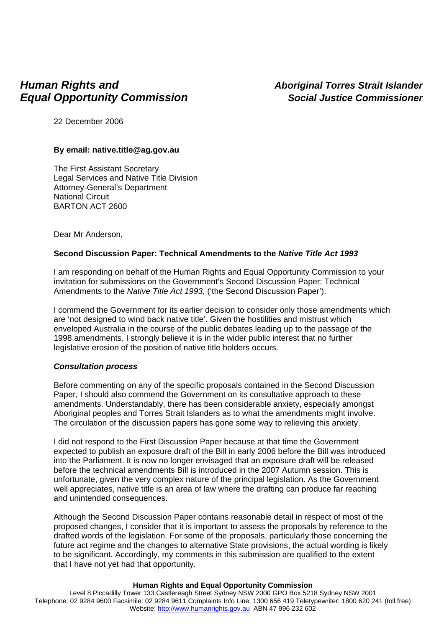# *Human Rights and Aboriginal Torres Strait Islander Equal Opportunity Commission* Social Justice Commissioner

22 December 2006

# **By email: native.title@ag.gov.au**

The First Assistant Secretary Legal Services and Native Title Division Attorney-General's Department National Circuit BARTON ACT 2600

Dear Mr Anderson,

# **Second Discussion Paper: Technical Amendments to the** *Native Title Act 1993*

I am responding on behalf of the Human Rights and Equal Opportunity Commission to your invitation for submissions on the Government's Second Discussion Paper: Technical Amendments to the *Native Title Act 1993*, ('the Second Discussion Paper').

I commend the Government for its earlier decision to consider only those amendments which are 'not designed to wind back native title'. Given the hostilities and mistrust which enveloped Australia in the course of the public debates leading up to the passage of the 1998 amendments, I strongly believe it is in the wider public interest that no further legislative erosion of the position of native title holders occurs.

#### *Consultation process*

Before commenting on any of the specific proposals contained in the Second Discussion Paper, I should also commend the Government on its consultative approach to these amendments. Understandably, there has been considerable anxiety, especially amongst Aboriginal peoples and Torres Strait Islanders as to what the amendments might involve. The circulation of the discussion papers has gone some way to relieving this anxiety.

I did not respond to the First Discussion Paper because at that time the Government expected to publish an exposure draft of the Bill in early 2006 before the Bill was introduced into the Parliament. It is now no longer envisaged that an exposure draft will be released before the technical amendments Bill is introduced in the 2007 Autumn session. This is unfortunate, given the very complex nature of the principal legislation. As the Government well appreciates, native title is an area of law where the drafting can produce far reaching and unintended consequences.

Although the Second Discussion Paper contains reasonable detail in respect of most of the proposed changes, I consider that it is important to assess the proposals by reference to the drafted words of the legislation. For some of the proposals, particularly those concerning the future act regime and the changes to alternative State provisions, the actual wording is likely to be significant. Accordingly, my comments in this submission are qualified to the extent that I have not yet had that opportunity.

#### **Human Rights and Equal Opportunity Commission**

Level 8 Piccadilly Tower 133 Castlereagh Street Sydney NSW 2000 GPO Box 5218 Sydney NSW 2001 Telephone: 02 9284 9600 Facsimile: 02 9284 9611 Complaints Info Line: 1300 656 419 Teletypewriter: 1800 620 241 (toll free) Website: http://www.humanrights.gov.au ABN 47 996 232 602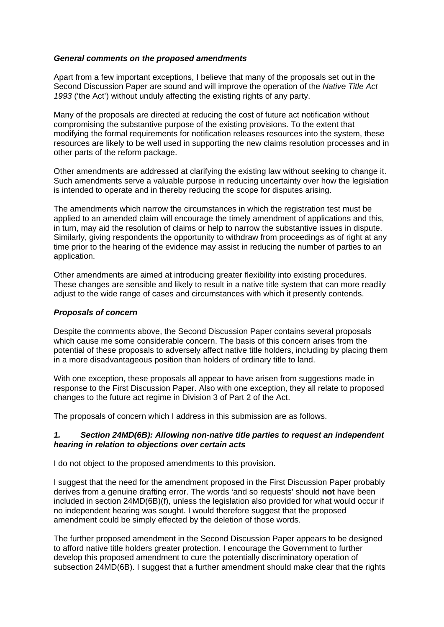#### *General comments on the proposed amendments*

Apart from a few important exceptions, I believe that many of the proposals set out in the Second Discussion Paper are sound and will improve the operation of the *Native Title Act 1993* ('the Act') without unduly affecting the existing rights of any party.

Many of the proposals are directed at reducing the cost of future act notification without compromising the substantive purpose of the existing provisions. To the extent that modifying the formal requirements for notification releases resources into the system, these resources are likely to be well used in supporting the new claims resolution processes and in other parts of the reform package.

Other amendments are addressed at clarifying the existing law without seeking to change it. Such amendments serve a valuable purpose in reducing uncertainty over how the legislation is intended to operate and in thereby reducing the scope for disputes arising.

The amendments which narrow the circumstances in which the registration test must be applied to an amended claim will encourage the timely amendment of applications and this, in turn, may aid the resolution of claims or help to narrow the substantive issues in dispute. Similarly, giving respondents the opportunity to withdraw from proceedings as of right at any time prior to the hearing of the evidence may assist in reducing the number of parties to an application.

Other amendments are aimed at introducing greater flexibility into existing procedures. These changes are sensible and likely to result in a native title system that can more readily adjust to the wide range of cases and circumstances with which it presently contends.

#### *Proposals of concern*

Despite the comments above, the Second Discussion Paper contains several proposals which cause me some considerable concern. The basis of this concern arises from the potential of these proposals to adversely affect native title holders, including by placing them in a more disadvantageous position than holders of ordinary title to land.

With one exception, these proposals all appear to have arisen from suggestions made in response to the First Discussion Paper. Also with one exception, they all relate to proposed changes to the future act regime in Division 3 of Part 2 of the Act.

The proposals of concern which I address in this submission are as follows.

#### *1. Section 24MD(6B): Allowing non-native title parties to request an independent hearing in relation to objections over certain acts*

I do not object to the proposed amendments to this provision.

I suggest that the need for the amendment proposed in the First Discussion Paper probably derives from a genuine drafting error. The words 'and so requests' should **not** have been included in section 24MD(6B)(f), unless the legislation also provided for what would occur if no independent hearing was sought. I would therefore suggest that the proposed amendment could be simply effected by the deletion of those words.

The further proposed amendment in the Second Discussion Paper appears to be designed to afford native title holders greater protection. I encourage the Government to further develop this proposed amendment to cure the potentially discriminatory operation of subsection 24MD(6B). I suggest that a further amendment should make clear that the rights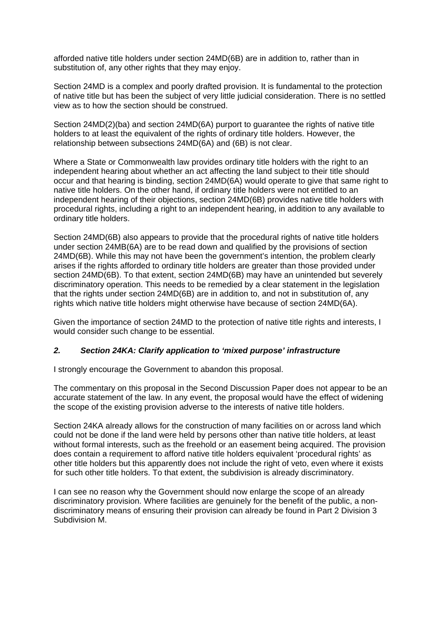afforded native title holders under section 24MD(6B) are in addition to, rather than in substitution of, any other rights that they may enjoy.

Section 24MD is a complex and poorly drafted provision. It is fundamental to the protection of native title but has been the subject of very little judicial consideration. There is no settled view as to how the section should be construed.

Section 24MD(2)(ba) and section 24MD(6A) purport to guarantee the rights of native title holders to at least the equivalent of the rights of ordinary title holders. However, the relationship between subsections 24MD(6A) and (6B) is not clear.

Where a State or Commonwealth law provides ordinary title holders with the right to an independent hearing about whether an act affecting the land subject to their title should occur and that hearing is binding, section 24MD(6A) would operate to give that same right to native title holders. On the other hand, if ordinary title holders were not entitled to an independent hearing of their objections, section 24MD(6B) provides native title holders with procedural rights, including a right to an independent hearing, in addition to any available to ordinary title holders.

Section 24MD(6B) also appears to provide that the procedural rights of native title holders under section 24MB(6A) are to be read down and qualified by the provisions of section 24MD(6B). While this may not have been the government's intention, the problem clearly arises if the rights afforded to ordinary title holders are greater than those provided under section 24MD(6B). To that extent, section 24MD(6B) may have an unintended but severely discriminatory operation. This needs to be remedied by a clear statement in the legislation that the rights under section 24MD(6B) are in addition to, and not in substitution of, any rights which native title holders might otherwise have because of section 24MD(6A).

Given the importance of section 24MD to the protection of native title rights and interests, I would consider such change to be essential.

# *2. Section 24KA: Clarify application to 'mixed purpose' infrastructure*

I strongly encourage the Government to abandon this proposal.

The commentary on this proposal in the Second Discussion Paper does not appear to be an accurate statement of the law. In any event, the proposal would have the effect of widening the scope of the existing provision adverse to the interests of native title holders.

Section 24KA already allows for the construction of many facilities on or across land which could not be done if the land were held by persons other than native title holders, at least without formal interests, such as the freehold or an easement being acquired. The provision does contain a requirement to afford native title holders equivalent 'procedural rights' as other title holders but this apparently does not include the right of veto, even where it exists for such other title holders. To that extent, the subdivision is already discriminatory.

I can see no reason why the Government should now enlarge the scope of an already discriminatory provision. Where facilities are genuinely for the benefit of the public, a nondiscriminatory means of ensuring their provision can already be found in Part 2 Division 3 Subdivision M.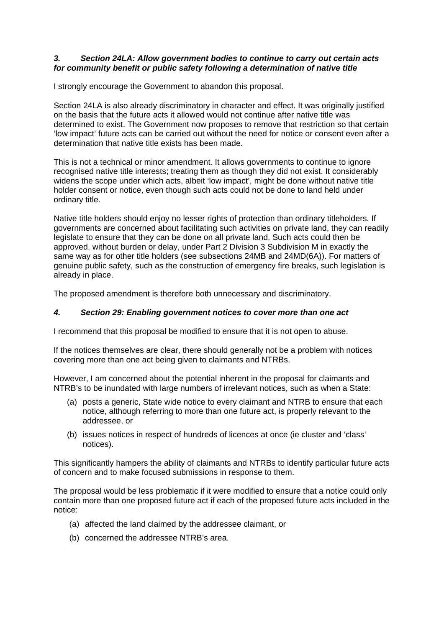#### *3. Section 24LA: Allow government bodies to continue to carry out certain acts for community benefit or public safety following a determination of native title*

I strongly encourage the Government to abandon this proposal.

Section 24LA is also already discriminatory in character and effect. It was originally justified on the basis that the future acts it allowed would not continue after native title was determined to exist. The Government now proposes to remove that restriction so that certain 'low impact' future acts can be carried out without the need for notice or consent even after a determination that native title exists has been made.

This is not a technical or minor amendment. It allows governments to continue to ignore recognised native title interests; treating them as though they did not exist. It considerably widens the scope under which acts, albeit 'low impact', might be done without native title holder consent or notice, even though such acts could not be done to land held under ordinary title.

Native title holders should enjoy no lesser rights of protection than ordinary titleholders. If governments are concerned about facilitating such activities on private land, they can readily legislate to ensure that they can be done on all private land. Such acts could then be approved, without burden or delay, under Part 2 Division 3 Subdivision M in exactly the same way as for other title holders (see subsections 24MB and 24MD(6A)). For matters of genuine public safety, such as the construction of emergency fire breaks, such legislation is already in place.

The proposed amendment is therefore both unnecessary and discriminatory.

# *4. Section 29: Enabling government notices to cover more than one act*

I recommend that this proposal be modified to ensure that it is not open to abuse.

If the notices themselves are clear, there should generally not be a problem with notices covering more than one act being given to claimants and NTRBs.

However, I am concerned about the potential inherent in the proposal for claimants and NTRB's to be inundated with large numbers of irrelevant notices, such as when a State:

- (a) posts a generic, State wide notice to every claimant and NTRB to ensure that each notice, although referring to more than one future act, is properly relevant to the addressee, or
- (b) issues notices in respect of hundreds of licences at once (ie cluster and 'class' notices).

This significantly hampers the ability of claimants and NTRBs to identify particular future acts of concern and to make focused submissions in response to them.

The proposal would be less problematic if it were modified to ensure that a notice could only contain more than one proposed future act if each of the proposed future acts included in the notice:

- (a) affected the land claimed by the addressee claimant, or
- (b) concerned the addressee NTRB's area.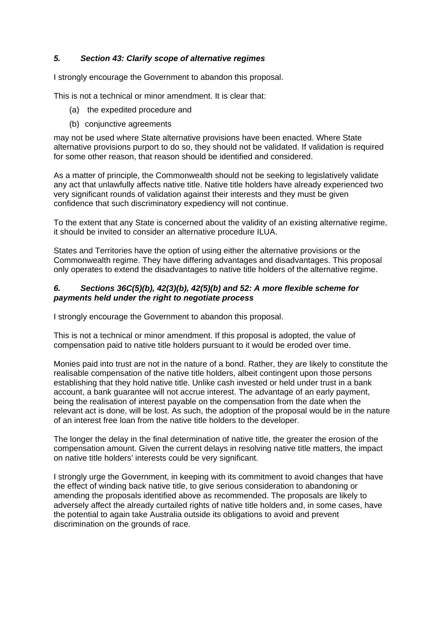# *5. Section 43: Clarify scope of alternative regimes*

I strongly encourage the Government to abandon this proposal.

This is not a technical or minor amendment. It is clear that:

- (a) the expedited procedure and
- (b) conjunctive agreements

may not be used where State alternative provisions have been enacted. Where State alternative provisions purport to do so, they should not be validated. If validation is required for some other reason, that reason should be identified and considered.

As a matter of principle, the Commonwealth should not be seeking to legislatively validate any act that unlawfully affects native title. Native title holders have already experienced two very significant rounds of validation against their interests and they must be given confidence that such discriminatory expediency will not continue.

To the extent that any State is concerned about the validity of an existing alternative regime, it should be invited to consider an alternative procedure ILUA.

States and Territories have the option of using either the alternative provisions or the Commonwealth regime. They have differing advantages and disadvantages. This proposal only operates to extend the disadvantages to native title holders of the alternative regime.

#### *6. Sections 36C(5)(b), 42(3)(b), 42(5)(b) and 52: A more flexible scheme for payments held under the right to negotiate process*

I strongly encourage the Government to abandon this proposal.

This is not a technical or minor amendment. If this proposal is adopted, the value of compensation paid to native title holders pursuant to it would be eroded over time.

Monies paid into trust are not in the nature of a bond. Rather, they are likely to constitute the realisable compensation of the native title holders, albeit contingent upon those persons establishing that they hold native title. Unlike cash invested or held under trust in a bank account, a bank guarantee will not accrue interest. The advantage of an early payment, being the realisation of interest payable on the compensation from the date when the relevant act is done, will be lost. As such, the adoption of the proposal would be in the nature of an interest free loan from the native title holders to the developer.

The longer the delay in the final determination of native title, the greater the erosion of the compensation amount. Given the current delays in resolving native title matters, the impact on native title holders' interests could be very significant.

I strongly urge the Government, in keeping with its commitment to avoid changes that have the effect of winding back native title, to give serious consideration to abandoning or amending the proposals identified above as recommended. The proposals are likely to adversely affect the already curtailed rights of native title holders and, in some cases, have the potential to again take Australia outside its obligations to avoid and prevent discrimination on the grounds of race.